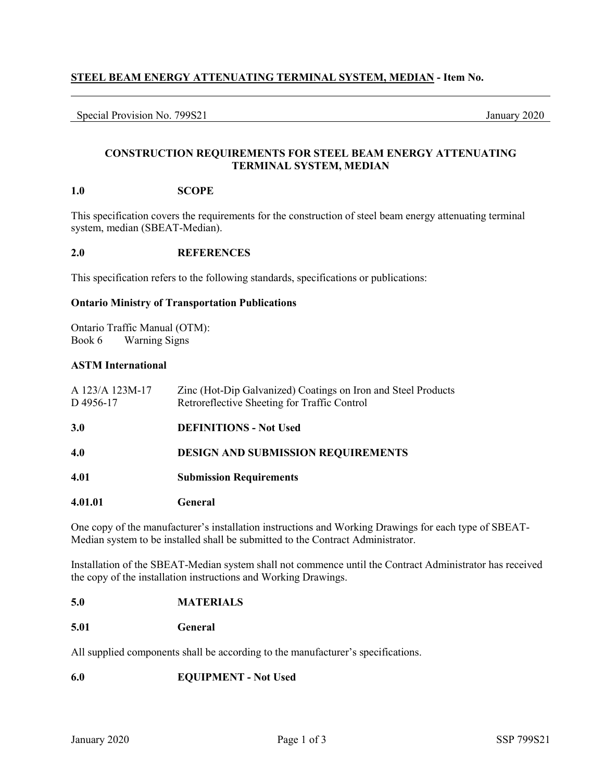# **STEEL BEAM ENERGY ATTENUATING TERMINAL SYSTEM, MEDIAN - Item No.**

Special Provision No. 799S21 January 2020

# **CONSTRUCTION REQUIREMENTS FOR STEEL BEAM ENERGY ATTENUATING TERMINAL SYSTEM, MEDIAN**

### **1.0 SCOPE**

This specification covers the requirements for the construction of steel beam energy attenuating terminal system, median (SBEAT-Median).

#### **2.0 REFERENCES**

This specification refers to the following standards, specifications or publications:

### **Ontario Ministry of Transportation Publications**

Ontario Traffic Manual (OTM): Book 6 Warning Signs

## **ASTM International**

| A 123/A 123M-17<br>D4956-17            | Zinc (Hot-Dip Galvanized) Coatings on Iron and Steel Products<br>Retroreflective Sheeting for Traffic Control |  |  |
|----------------------------------------|---------------------------------------------------------------------------------------------------------------|--|--|
| <b>3.0</b>                             | <b>DEFINITIONS - Not Used</b>                                                                                 |  |  |
| 4.0                                    | <b>DESIGN AND SUBMISSION REQUIREMENTS</b>                                                                     |  |  |
| 4.01<br><b>Submission Requirements</b> |                                                                                                               |  |  |
| 4.01.01                                | General                                                                                                       |  |  |

One copy of the manufacturer's installation instructions and Working Drawings for each type of SBEAT-Median system to be installed shall be submitted to the Contract Administrator.

Installation of the SBEAT-Median system shall not commence until the Contract Administrator has received the copy of the installation instructions and Working Drawings.

## **5.0 MATERIALS**

#### **5.01 General**

All supplied components shall be according to the manufacturer's specifications.

#### **6.0 EQUIPMENT - Not Used**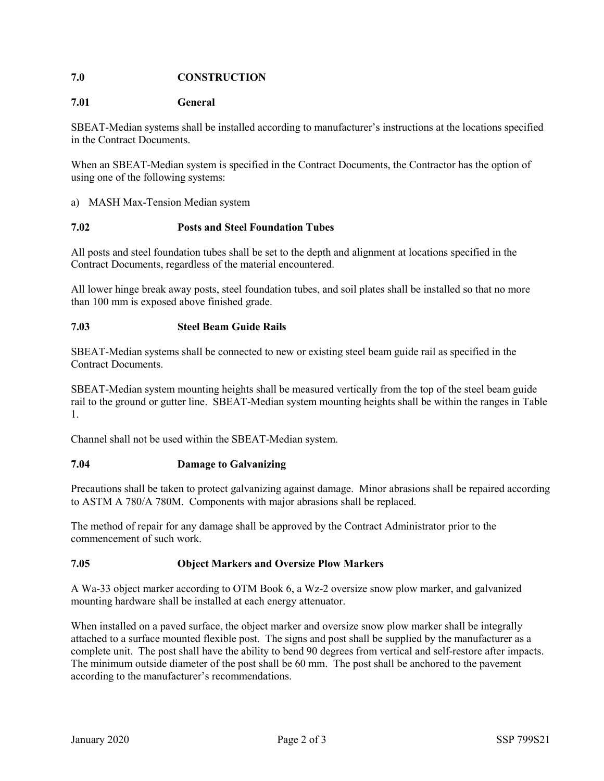# **7.0 CONSTRUCTION**

## **7.01 General**

SBEAT-Median systems shall be installed according to manufacturer's instructions at the locations specified in the Contract Documents.

When an SBEAT-Median system is specified in the Contract Documents, the Contractor has the option of using one of the following systems:

## a) MASH Max-Tension Median system

## **7.02 Posts and Steel Foundation Tubes**

All posts and steel foundation tubes shall be set to the depth and alignment at locations specified in the Contract Documents, regardless of the material encountered.

All lower hinge break away posts, steel foundation tubes, and soil plates shall be installed so that no more than 100 mm is exposed above finished grade.

#### **7.03 Steel Beam Guide Rails**

SBEAT-Median systems shall be connected to new or existing steel beam guide rail as specified in the Contract Documents.

SBEAT-Median system mounting heights shall be measured vertically from the top of the steel beam guide rail to the ground or gutter line. SBEAT-Median system mounting heights shall be within the ranges in Table 1.

Channel shall not be used within the SBEAT-Median system.

#### **7.04 Damage to Galvanizing**

Precautions shall be taken to protect galvanizing against damage. Minor abrasions shall be repaired according to ASTM A 780/A 780M. Components with major abrasions shall be replaced.

The method of repair for any damage shall be approved by the Contract Administrator prior to the commencement of such work.

## **7.05 Object Markers and Oversize Plow Markers**

A Wa-33 object marker according to OTM Book 6, a Wz-2 oversize snow plow marker, and galvanized mounting hardware shall be installed at each energy attenuator.

When installed on a paved surface, the object marker and oversize snow plow marker shall be integrally attached to a surface mounted flexible post. The signs and post shall be supplied by the manufacturer as a complete unit. The post shall have the ability to bend 90 degrees from vertical and self-restore after impacts. The minimum outside diameter of the post shall be 60 mm. The post shall be anchored to the pavement according to the manufacturer's recommendations.